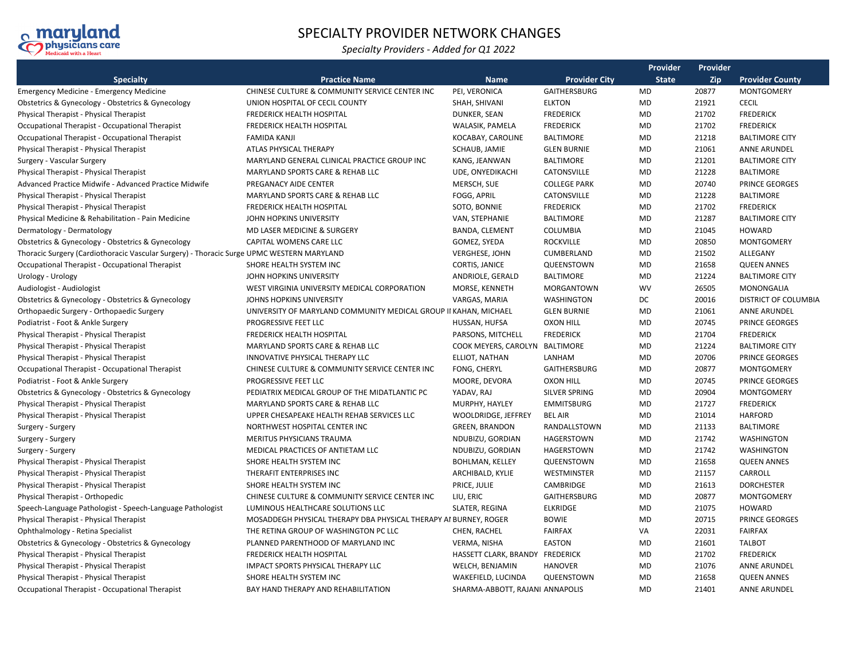

## SPECIALTY PROVIDER NETWORK CHANGES

*Specialty Providers - Added for Q1 2022*

|                                                                                           |                                                                  |                                 | Provider<br>Provider |              |       |                             |
|-------------------------------------------------------------------------------------------|------------------------------------------------------------------|---------------------------------|----------------------|--------------|-------|-----------------------------|
| <b>Specialty</b>                                                                          | <b>Practice Name</b>                                             | <b>Name</b>                     | <b>Provider City</b> | <b>State</b> | Zip   | <b>Provider County</b>      |
| <b>Emergency Medicine - Emergency Medicine</b>                                            | CHINESE CULTURE & COMMUNITY SERVICE CENTER INC                   | PEI, VERONICA                   | GAITHERSBURG         | MD           | 20877 | <b>MONTGOMERY</b>           |
| Obstetrics & Gynecology - Obstetrics & Gynecology                                         | UNION HOSPITAL OF CECIL COUNTY                                   | SHAH, SHIVANI                   | <b>ELKTON</b>        | <b>MD</b>    | 21921 | <b>CECIL</b>                |
| Physical Therapist - Physical Therapist                                                   | <b>FREDERICK HEALTH HOSPITAL</b>                                 | DUNKER, SEAN                    | <b>FREDERICK</b>     | <b>MD</b>    | 21702 | <b>FREDERICK</b>            |
| Occupational Therapist - Occupational Therapist                                           | <b>FREDERICK HEALTH HOSPITAL</b>                                 | WALASIK, PAMELA                 | <b>FREDERICK</b>     | MD           | 21702 | <b>FREDERICK</b>            |
| Occupational Therapist - Occupational Therapist                                           | <b>FAMIDA KANJI</b>                                              | KOCABAY, CAROLINE               | BALTIMORE            | MD           | 21218 | <b>BALTIMORE CITY</b>       |
| Physical Therapist - Physical Therapist                                                   | ATLAS PHYSICAL THERAPY                                           | SCHAUB, JAMIE                   | <b>GLEN BURNIE</b>   | MD           | 21061 | <b>ANNE ARUNDEL</b>         |
| Surgery - Vascular Surgery                                                                | MARYLAND GENERAL CLINICAL PRACTICE GROUP INC                     | KANG, JEANWAN                   | <b>BALTIMORE</b>     | MD           | 21201 | <b>BALTIMORE CITY</b>       |
| Physical Therapist - Physical Therapist                                                   | MARYLAND SPORTS CARE & REHAB LLC                                 | UDE, ONYEDIKACHI                | CATONSVILLE          | MD           | 21228 | <b>BALTIMORE</b>            |
| Advanced Practice Midwife - Advanced Practice Midwife                                     | PREGANACY AIDE CENTER                                            | MERSCH, SUE                     | <b>COLLEGE PARK</b>  | MD           | 20740 | PRINCE GEORGES              |
| Physical Therapist - Physical Therapist                                                   | MARYLAND SPORTS CARE & REHAB LLC                                 | FOGG, APRIL                     | CATONSVILLE          | MD           | 21228 | <b>BALTIMORE</b>            |
| Physical Therapist - Physical Therapist                                                   | <b>FREDERICK HEALTH HOSPITAL</b>                                 | SOTO, BONNIE                    | <b>FREDERICK</b>     | MD           | 21702 | <b>FREDERICK</b>            |
| Physical Medicine & Rehabilitation - Pain Medicine                                        | JOHN HOPKINS UNIVERSITY                                          | VAN, STEPHANIE                  | <b>BALTIMORE</b>     | MD           | 21287 | <b>BALTIMORE CITY</b>       |
| Dermatology - Dermatology                                                                 | MD LASER MEDICINE & SURGERY                                      | BANDA, CLEMENT                  | COLUMBIA             | MD           | 21045 | <b>HOWARD</b>               |
| Obstetrics & Gynecology - Obstetrics & Gynecology                                         | CAPITAL WOMENS CARE LLC                                          | GOMEZ, SYEDA                    | <b>ROCKVILLE</b>     | MD           | 20850 | <b>MONTGOMERY</b>           |
| Thoracic Surgery (Cardiothoracic Vascular Surgery) - Thoracic Surge UPMC WESTERN MARYLAND |                                                                  | <b>VERGHESE, JOHN</b>           | CUMBERLAND           | MD           | 21502 | ALLEGANY                    |
| Occupational Therapist - Occupational Therapist                                           | SHORE HEALTH SYSTEM INC                                          | CORTIS, JANICE                  | QUEENSTOWN           | MD           | 21658 | <b>QUEEN ANNES</b>          |
| Urology - Urology                                                                         | JOHN HOPKINS UNIVERSITY                                          | ANDRIOLE, GERALD                | BALTIMORE            | MD           | 21224 | <b>BALTIMORE CITY</b>       |
| Audiologist - Audiologist                                                                 | WEST VIRGINIA UNIVERSITY MEDICAL CORPORATION                     | MORSE, KENNETH                  | <b>MORGANTOWN</b>    | <b>WV</b>    | 26505 | MONONGALIA                  |
| Obstetrics & Gynecology - Obstetrics & Gynecology                                         | JOHNS HOPKINS UNIVERSITY                                         | VARGAS, MARIA                   | WASHINGTON           | DC           | 20016 | <b>DISTRICT OF COLUMBIA</b> |
| Orthopaedic Surgery - Orthopaedic Surgery                                                 | UNIVERSITY OF MARYLAND COMMUNITY MEDICAL GROUP II KAHAN, MICHAEL |                                 | <b>GLEN BURNIE</b>   | MD           | 21061 | <b>ANNE ARUNDEL</b>         |
| Podiatrist - Foot & Ankle Surgery                                                         | PROGRESSIVE FEET LLC                                             | HUSSAN, HUFSA                   | <b>OXON HILL</b>     | MD           | 20745 | PRINCE GEORGES              |
| Physical Therapist - Physical Therapist                                                   | <b>FREDERICK HEALTH HOSPITAL</b>                                 | PARSONS, MITCHELL               | <b>FREDERICK</b>     | MD           | 21704 | <b>FREDERICK</b>            |
| Physical Therapist - Physical Therapist                                                   | MARYLAND SPORTS CARE & REHAB LLC                                 | COOK MEYERS, CAROLYN BALTIMORE  |                      | MD           | 21224 | <b>BALTIMORE CITY</b>       |
| Physical Therapist - Physical Therapist                                                   | <b>INNOVATIVE PHYSICAL THERAPY LLC</b>                           | ELLIOT, NATHAN                  | LANHAM               | MD           | 20706 | <b>PRINCE GEORGES</b>       |
| Occupational Therapist - Occupational Therapist                                           | CHINESE CULTURE & COMMUNITY SERVICE CENTER INC                   | FONG, CHERYL                    | GAITHERSBURG         | MD           | 20877 | <b>MONTGOMERY</b>           |
| Podiatrist - Foot & Ankle Surgery                                                         | PROGRESSIVE FEET LLC                                             | MOORE, DEVORA                   | <b>OXON HILL</b>     | MD           | 20745 | <b>PRINCE GEORGES</b>       |
| Obstetrics & Gynecology - Obstetrics & Gynecology                                         | PEDIATRIX MEDICAL GROUP OF THE MIDATLANTIC PC                    | YADAV, RAJ                      | SILVER SPRING        | MD           | 20904 | <b>MONTGOMERY</b>           |
| Physical Therapist - Physical Therapist                                                   | MARYLAND SPORTS CARE & REHAB LLC                                 | MURPHY, HAYLEY                  | <b>EMMITSBURG</b>    | MD           | 21727 | <b>FREDERICK</b>            |
| Physical Therapist - Physical Therapist                                                   | UPPER CHESAPEAKE HEALTH REHAB SERVICES LLC                       | WOOLDRIDGE, JEFFREY             | <b>BEL AIR</b>       | MD           | 21014 | <b>HARFORD</b>              |
| Surgery - Surgery                                                                         | NORTHWEST HOSPITAL CENTER INC                                    | <b>GREEN, BRANDON</b>           | RANDALLSTOWN         | MD           | 21133 | <b>BALTIMORE</b>            |
| Surgery - Surgery                                                                         | MERITUS PHYSICIANS TRAUMA                                        | NDUBIZU, GORDIAN                | HAGERSTOWN           | MD           | 21742 | WASHINGTON                  |
| Surgery - Surgery                                                                         | MEDICAL PRACTICES OF ANTIETAM LLC                                | NDUBIZU, GORDIAN                | HAGERSTOWN           | MD           | 21742 | WASHINGTON                  |
| Physical Therapist - Physical Therapist                                                   | SHORE HEALTH SYSTEM INC                                          | <b>BOHLMAN, KELLEY</b>          | QUEENSTOWN           | MD           | 21658 | <b>QUEEN ANNES</b>          |
| Physical Therapist - Physical Therapist                                                   | THERAFIT ENTERPRISES INC                                         | ARCHIBALD, KYLIE                | WESTMINSTER          | MD           | 21157 | CARROLL                     |
| Physical Therapist - Physical Therapist                                                   | SHORE HEALTH SYSTEM INC                                          | PRICE, JULIE                    | CAMBRIDGE            | MD           | 21613 | <b>DORCHESTER</b>           |
| Physical Therapist - Orthopedic                                                           | CHINESE CULTURE & COMMUNITY SERVICE CENTER INC                   | LIU, ERIC                       | GAITHERSBURG         | MD           | 20877 | <b>MONTGOMERY</b>           |
| Speech-Language Pathologist - Speech-Language Pathologist                                 | LUMINOUS HEALTHCARE SOLUTIONS LLC                                | SLATER, REGINA                  | <b>ELKRIDGE</b>      | MD           | 21075 | <b>HOWARD</b>               |
| Physical Therapist - Physical Therapist                                                   | MOSADDEGH PHYSICAL THERAPY DBA PHYSICAL THERAPY AI BURNEY, ROGER |                                 | <b>BOWIE</b>         | MD           | 20715 | <b>PRINCE GEORGES</b>       |
| Ophthalmology - Retina Specialist                                                         | THE RETINA GROUP OF WASHINGTON PC LLC                            | CHEN, RACHEL                    | <b>FAIRFAX</b>       | VA           | 22031 | <b>FAIRFAX</b>              |
| Obstetrics & Gynecology - Obstetrics & Gynecology                                         | PLANNED PARENTHOOD OF MARYLAND INC                               | VERMA, NISHA                    | EASTON               | MD           | 21601 | <b>TALBOT</b>               |
| Physical Therapist - Physical Therapist                                                   | <b>FREDERICK HEALTH HOSPITAL</b>                                 | HASSETT CLARK, BRANDY FREDERICK |                      | MD           | 21702 | <b>FREDERICK</b>            |
| Physical Therapist - Physical Therapist                                                   | IMPACT SPORTS PHYSICAL THERAPY LLC                               | WELCH, BENJAMIN                 | <b>HANOVER</b>       | MD           | 21076 | <b>ANNE ARUNDEL</b>         |
| Physical Therapist - Physical Therapist                                                   | SHORE HEALTH SYSTEM INC                                          | WAKEFIELD, LUCINDA              | QUEENSTOWN           | MD           | 21658 | <b>QUEEN ANNES</b>          |
| Occupational Therapist - Occupational Therapist                                           | BAY HAND THERAPY AND REHABILITATION                              | SHARMA-ABBOTT, RAJANI ANNAPOLIS |                      | MD           | 21401 | <b>ANNE ARUNDEL</b>         |
|                                                                                           |                                                                  |                                 |                      |              |       |                             |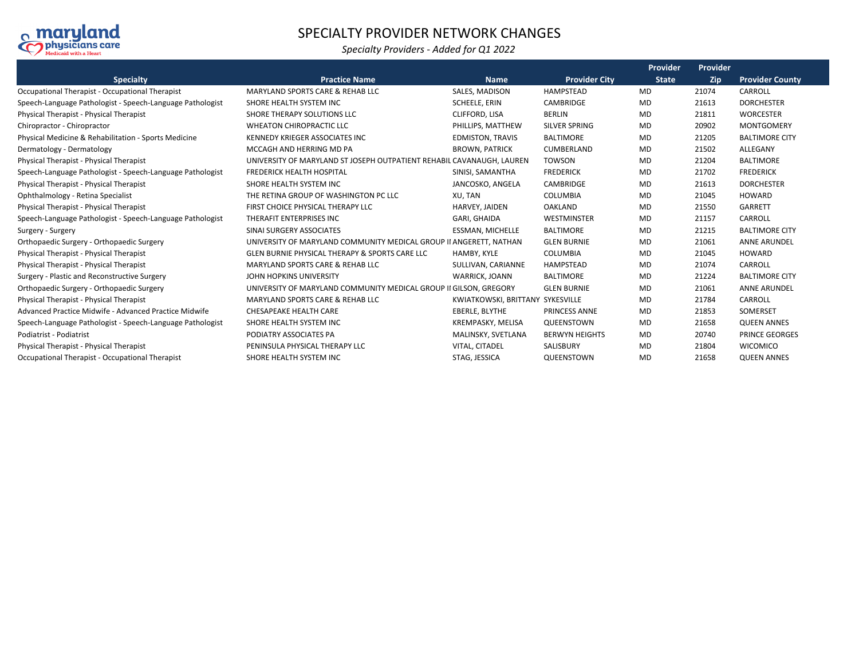

## SPECIALTY PROVIDER NETWORK CHANGES

## *Specialty Providers - Added for Q1 2022*

|                                                                 |                                                                       |                                  |                       | Provider     | Provider |                        |
|-----------------------------------------------------------------|-----------------------------------------------------------------------|----------------------------------|-----------------------|--------------|----------|------------------------|
| <b>Specialty</b>                                                | <b>Practice Name</b>                                                  | <b>Name</b>                      | <b>Provider City</b>  | <b>State</b> | Zip      | <b>Provider County</b> |
| Occupational Therapist - Occupational Therapist                 | <b>MARYLAND SPORTS CARE &amp; REHAB LLC</b>                           | SALES, MADISON                   | <b>HAMPSTEAD</b>      | MD           | 21074    | CARROLL                |
| Speech-Language Pathologist - Speech-Language Pathologist       | SHORE HEALTH SYSTEM INC                                               | <b>SCHEELE, ERIN</b>             | <b>CAMBRIDGE</b>      | MD           | 21613    | <b>DORCHESTER</b>      |
| Physical Therapist - Physical Therapist                         | SHORE THERAPY SOLUTIONS LLC                                           | CLIFFORD, LISA                   | <b>BERLIN</b>         | <b>MD</b>    | 21811    | <b>WORCESTER</b>       |
| Chiropractor - Chiropractor                                     | <b>WHEATON CHIROPRACTIC LLC</b>                                       | PHILLIPS, MATTHEW                | <b>SILVER SPRING</b>  | <b>MD</b>    | 20902    | <b>MONTGOMERY</b>      |
| <b>Physical Medicine &amp; Rehabilitation - Sports Medicine</b> | KENNEDY KRIEGER ASSOCIATES INC                                        | <b>EDMISTON, TRAVIS</b>          | <b>BALTIMORE</b>      | MD           | 21205    | <b>BALTIMORE CITY</b>  |
| Dermatology - Dermatology                                       | MCCAGH AND HERRING MD PA                                              | <b>BROWN, PATRICK</b>            | CUMBERLAND            | MD           | 21502    | ALLEGANY               |
| Physical Therapist - Physical Therapist                         | UNIVERSITY OF MARYLAND ST JOSEPH OUTPATIENT REHABIL CAVANAUGH, LAUREN |                                  | <b>TOWSON</b>         | MD           | 21204    | <b>BALTIMORE</b>       |
| Speech-Language Pathologist - Speech-Language Pathologist       | <b>FREDERICK HEALTH HOSPITAL</b>                                      | SINISI, SAMANTHA                 | <b>FREDERICK</b>      | MD           | 21702    | <b>FREDERICK</b>       |
| Physical Therapist - Physical Therapist                         | SHORE HEALTH SYSTEM INC                                               | JANCOSKO, ANGELA                 | <b>CAMBRIDGE</b>      | MD           | 21613    | <b>DORCHESTER</b>      |
| Ophthalmology - Retina Specialist                               | THE RETINA GROUP OF WASHINGTON PC LLC                                 | XU, TAN                          | <b>COLUMBIA</b>       | MD           | 21045    | <b>HOWARD</b>          |
| Physical Therapist - Physical Therapist                         | FIRST CHOICE PHYSICAL THERAPY LLC                                     | HARVEY, JAIDEN                   | <b>OAKLAND</b>        | MD           | 21550    | GARRETT                |
| Speech-Language Pathologist - Speech-Language Pathologist       | THERAFIT ENTERPRISES INC                                              | GARI, GHAIDA                     | WESTMINSTER           | MD           | 21157    | CARROLL                |
| Surgery - Surgery                                               | SINAI SURGERY ASSOCIATES                                              | ESSMAN, MICHELLE                 | <b>BALTIMORE</b>      | <b>MD</b>    | 21215    | <b>BALTIMORE CITY</b>  |
| Orthopaedic Surgery - Orthopaedic Surgery                       | UNIVERSITY OF MARYLAND COMMUNITY MEDICAL GROUP II ANGERETT, NATHAN    |                                  | <b>GLEN BURNIE</b>    | MD           | 21061    | <b>ANNE ARUNDEL</b>    |
| Physical Therapist - Physical Therapist                         | <b>GLEN BURNIE PHYSICAL THERAPY &amp; SPORTS CARE LLC</b>             | HAMBY, KYLE                      | COLUMBIA              | MD           | 21045    | <b>HOWARD</b>          |
| Physical Therapist - Physical Therapist                         | MARYLAND SPORTS CARE & REHAB LLC                                      | SULLIVAN, CARIANNE               | <b>HAMPSTEAD</b>      | MD           | 21074    | CARROLL                |
| Surgery - Plastic and Reconstructive Surgery                    | JOHN HOPKINS UNIVERSITY                                               | <b>WARRICK, JOANN</b>            | <b>BALTIMORE</b>      | <b>MD</b>    | 21224    | <b>BALTIMORE CITY</b>  |
| Orthopaedic Surgery - Orthopaedic Surgery                       | UNIVERSITY OF MARYLAND COMMUNITY MEDICAL GROUP II GILSON. GREGORY     |                                  | <b>GLEN BURNIE</b>    | MD           | 21061    | <b>ANNE ARUNDEL</b>    |
| Physical Therapist - Physical Therapist                         | <b>MARYLAND SPORTS CARE &amp; REHAB LLC</b>                           | KWIATKOWSKI, BRITTANY SYKESVILLE |                       | MD           | 21784    | CARROLL                |
| Advanced Practice Midwife - Advanced Practice Midwife           | CHESAPEAKE HEALTH CARE                                                | EBERLE, BLYTHE                   | <b>PRINCESS ANNE</b>  | MD           | 21853    | SOMERSET               |
| Speech-Language Pathologist - Speech-Language Pathologist       | SHORE HEALTH SYSTEM INC                                               | KREMPASKY, MELISA                | QUEENSTOWN            | MD           | 21658    | <b>QUEEN ANNES</b>     |
| Podiatrist - Podiatrist                                         | PODIATRY ASSOCIATES PA                                                | MALINSKY, SVETLANA               | <b>BERWYN HEIGHTS</b> | <b>MD</b>    | 20740    | PRINCE GEORGES         |
| Physical Therapist - Physical Therapist                         | PENINSULA PHYSICAL THERAPY LLC                                        | VITAL, CITADEL                   | SALISBURY             | MD           | 21804    | <b>WICOMICO</b>        |
| Occupational Therapist - Occupational Therapist                 | SHORE HEALTH SYSTEM INC                                               | STAG, JESSICA                    | QUEENSTOWN            | MD           | 21658    | <b>QUEEN ANNES</b>     |